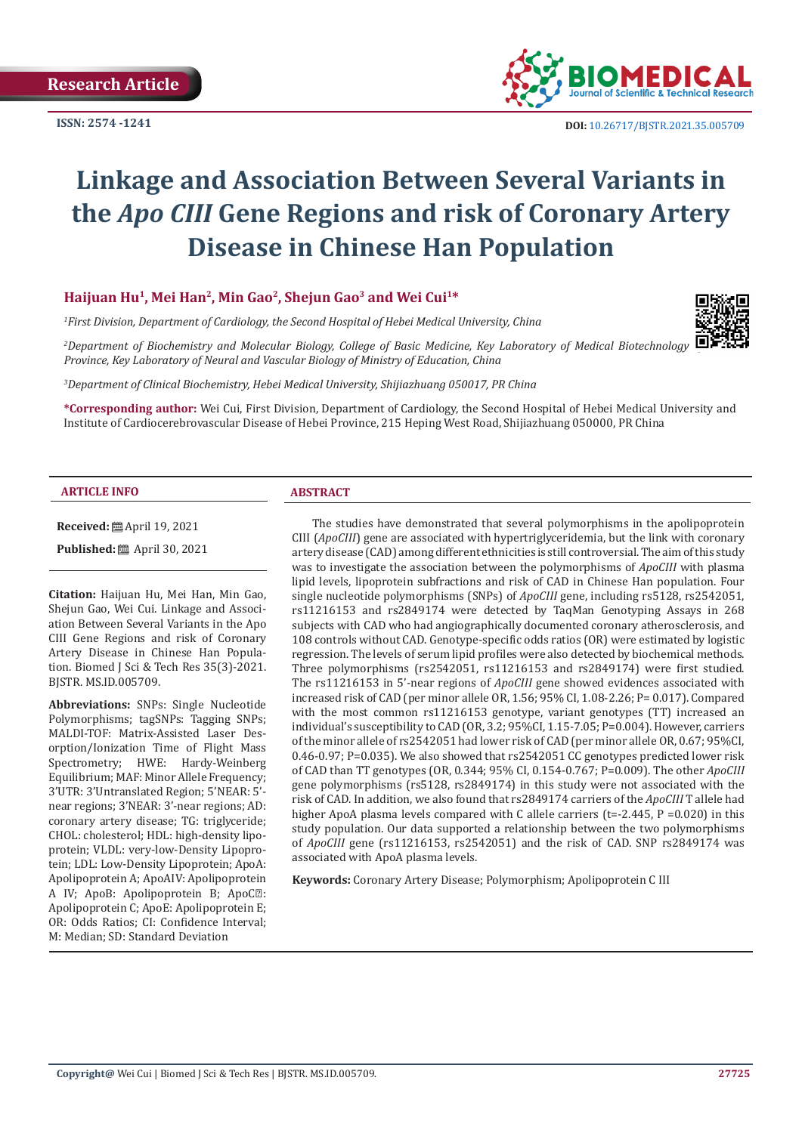**ISSN: 2574 -1241**



# **Linkage and Association Between Several Variants in the** *Apo CIII* **Gene Regions and risk of Coronary Artery Disease in Chinese Han Population**

# **Haijuan Hu1, Mei Han2, Min Gao2, Shejun Gao3 and Wei Cui1\***

*1 First Division, Department of Cardiology, the Second Hospital of Hebei Medical University, China*

*2 Department of Biochemistry and Molecular Biology, College of Basic Medicine, Key Laboratory of Medical Biotechnology of Hebei Province, Key Laboratory of Neural and Vascular Biology of Ministry of Education, China*

*3 Department of Clinical Biochemistry, Hebei Medical University, Shijiazhuang 050017, PR China*

**\*Corresponding author:** Wei Cui, First Division, Department of Cardiology, the Second Hospital of Hebei Medical University and Institute of Cardiocerebrovascular Disease of Hebei Province, 215 Heping West Road, Shijiazhuang 050000, PR China

#### **ARTICLE INFO ABSTRACT**

**Received:** April 19, 2021

**Published:** ■ April 30, 2021

**Citation:** Haijuan Hu, Mei Han, Min Gao, Shejun Gao, Wei Cui. Linkage and Association Between Several Variants in the Apo CIII Gene Regions and risk of Coronary Artery Disease in Chinese Han Population. Biomed J Sci & Tech Res 35(3)-2021. BJSTR. MS.ID.005709.

**Abbreviations:** SNPs: Single Nucleotide Polymorphisms; tagSNPs: Tagging SNPs; MALDI-TOF: Matrix-Assisted Laser Desorption/Ionization Time of Flight Mass Spectrometry; HWE: Hardy-Weinberg Equilibrium; MAF: Minor Allele Frequency; 3'UTR: 3'Untranslated Region; 5'NEAR: 5' near regions; 3'NEAR: 3'-near regions; AD: coronary artery disease; TG: triglyceride; CHOL: cholesterol; HDL: high-density lipoprotein; VLDL: very-low-Density Lipoprotein; LDL: Low-Density Lipoprotein; ApoA: Apolipoprotein A; ApoAIV: Apolipoprotein A IV; ApoB: Apolipoprotein B; ApoCⅢ: Apolipoprotein C; ApoE: Apolipoprotein E; OR: Odds Ratios; CI: Confidence Interval; M: Median; SD: Standard Deviation

The studies have demonstrated that several polymorphisms in the apolipoprotein CIII (*ApoCIII*) gene are associated with hypertriglyceridemia, but the link with coronary artery disease (CAD) among different ethnicities is still controversial. The aim of this study was to investigate the association between the polymorphisms of *ApoCIII* with plasma lipid levels, lipoprotein subfractions and risk of CAD in Chinese Han population. Four single nucleotide polymorphisms (SNPs) of *ApoCIII* gene, including rs5128, rs2542051, rs11216153 and rs2849174 were detected by TaqMan Genotyping Assays in 268 subjects with CAD who had angiographically documented coronary atherosclerosis, and 108 controls without CAD. Genotype-specific odds ratios (OR) were estimated by logistic regression. The levels of serum lipid profiles were also detected by biochemical methods. Three polymorphisms (rs2542051, rs11216153 and rs2849174) were first studied. The rs11216153 in 5'-near regions of *ApoCIII* gene showed evidences associated with increased risk of CAD (per minor allele OR, 1.56; 95% CI, 1.08-2.26; P= 0.017). Compared with the most common rs11216153 genotype, variant genotypes (TT) increased an individual's susceptibility to CAD (OR, 3.2; 95%CI, 1.15-7.05; P=0.004). However, carriers of the minor allele of rs2542051 had lower risk of CAD (per minor allele OR, 0.67; 95%CI, 0.46-0.97; P=0.035). We also showed that rs2542051 CC genotypes predicted lower risk of CAD than TT genotypes (OR, 0.344; 95% CI, 0.154-0.767; P=0.009). The other *ApoCIII* gene polymorphisms (rs5128, rs2849174) in this study were not associated with the risk of CAD. In addition, we also found that rs2849174 carriers of the *ApoCIII* T allele had higher ApoA plasma levels compared with C allele carriers (t=-2.445, P =0.020) in this study population. Our data supported a relationship between the two polymorphisms of *ApoCIII* gene (rs11216153, rs2542051) and the risk of CAD. SNP rs2849174 was associated with ApoA plasma levels.

**Keywords:** Coronary Artery Disease; Polymorphism; Apolipoprotein C III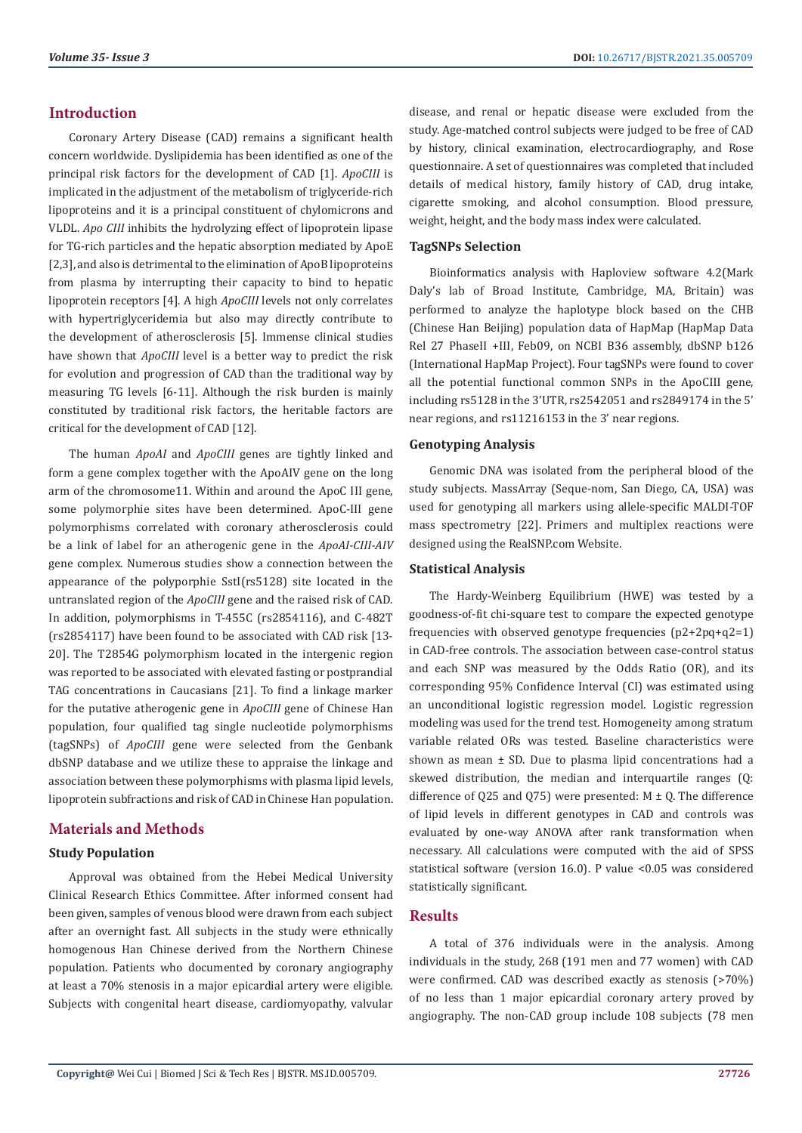# **Introduction**

Coronary Artery Disease (CAD) remains a significant health concern worldwide. Dyslipidemia has been identified as one of the principal risk factors for the development of CAD [1]. *ApoCIII* is implicated in the adjustment of the metabolism of triglyceride-rich lipoproteins and it is a principal constituent of chylomicrons and VLDL. *Apo CIII* inhibits the hydrolyzing effect of lipoprotein lipase for TG-rich particles and the hepatic absorption mediated by ApoE [2,3], and also is detrimental to the elimination of ApoB lipoproteins from plasma by interrupting their capacity to bind to hepatic lipoprotein receptors [4]. A high *ApoCIII* levels not only correlates with hypertriglyceridemia but also may directly contribute to the development of atherosclerosis [5]. Immense clinical studies have shown that *ApoCIII* level is a better way to predict the risk for evolution and progression of CAD than the traditional way by measuring TG levels [6-11]. Although the risk burden is mainly constituted by traditional risk factors, the heritable factors are critical for the development of CAD [12].

The human *ApoAI* and *ApoCIII* genes are tightly linked and form a gene complex together with the ApoAIV gene on the long arm of the chromosome11. Within and around the ApoC III gene, some polymorphie sites have been determined. ApoC-III gene polymorphisms correlated with coronary atherosclerosis could be a link of label for an atherogenic gene in the *ApoAI-CIII-AIV* gene complex. Numerous studies show a connection between the appearance of the polyporphie SstI(rs5128) site located in the untranslated region of the *ApoCIII* gene and the raised risk of CAD. In addition, polymorphisms in T-455C (rs2854116), and C-482T (rs2854117) have been found to be associated with CAD risk [13- 20]. The T2854G polymorphism located in the intergenic region was reported to be associated with elevated fasting or postprandial TAG concentrations in Caucasians [21]. To find a linkage marker for the putative atherogenic gene in *ApoCIII* gene of Chinese Han population, four qualified tag single nucleotide polymorphisms (tagSNPs) of *ApoCIII* gene were selected from the Genbank dbSNP database and we utilize these to appraise the linkage and association between these polymorphisms with plasma lipid levels, lipoprotein subfractions and risk of CAD in Chinese Han population.

# **Materials and Methods**

# **Study Population**

Approval was obtained from the Hebei Medical University Clinical Research Ethics Committee. After informed consent had been given, samples of venous blood were drawn from each subject after an overnight fast. All subjects in the study were ethnically homogenous Han Chinese derived from the Northern Chinese population. Patients who documented by coronary angiography at least a 70% stenosis in a major epicardial artery were eligible. Subjects with congenital heart disease, cardiomyopathy, valvular

disease, and renal or hepatic disease were excluded from the study. Age-matched control subjects were judged to be free of CAD by history, clinical examination, electrocardiography, and Rose questionnaire. A set of questionnaires was completed that included details of medical history, family history of CAD, drug intake, cigarette smoking, and alcohol consumption. Blood pressure, weight, height, and the body mass index were calculated.

# **TagSNPs Selection**

Bioinformatics analysis with Haploview software 4.2(Mark Daly's lab of Broad Institute, Cambridge, MA, Britain) was performed to analyze the haplotype block based on the CHB (Chinese Han Beijing) population data of HapMap (HapMap Data Rel 27 PhaseII +III, Feb09, on NCBI B36 assembly, dbSNP b126 (International HapMap Project). Four tagSNPs were found to cover all the potential functional common SNPs in the ApoCⅢ gene, including rs5128 in the 3'UTR, rs2542051 and rs2849174 in the 5' near regions, and rs11216153 in the 3' near regions.

#### **Genotyping Analysis**

Genomic DNA was isolated from the peripheral blood of the study subjects. MassArray (Seque-nom, San Diego, CA, USA) was used for genotyping all markers using allele-specific MALDI-TOF mass spectrometry [22]. Primers and multiplex reactions were designed using the RealSNP.com Website.

# **Statistical Analysis**

The Hardy-Weinberg Equilibrium (HWE) was tested by a goodness-of-fit chi-square test to compare the expected genotype frequencies with observed genotype frequencies (p2+2pq+q2=1) in CAD-free controls. The association between case-control status and each SNP was measured by the Odds Ratio (OR), and its corresponding 95% Confidence Interval (CI) was estimated using an unconditional logistic regression model. Logistic regression modeling was used for the trend test. Homogeneity among stratum variable related ORs was tested. Baseline characteristics were shown as mean ± SD. Due to plasma lipid concentrations had a skewed distribution, the median and interquartile ranges (Q: difference of Q25 and Q75) were presented:  $M \pm Q$ . The difference of lipid levels in different genotypes in CAD and controls was evaluated by one-way ANOVA after rank transformation when necessary. All calculations were computed with the aid of SPSS statistical software (version 16.0). P value <0.05 was considered statistically significant.

# **Results**

A total of 376 individuals were in the analysis. Among individuals in the study, 268 (191 men and 77 women) with CAD were confirmed. CAD was described exactly as stenosis (>70%) of no less than 1 major epicardial coronary artery proved by angiography. The non-CAD group include 108 subjects (78 men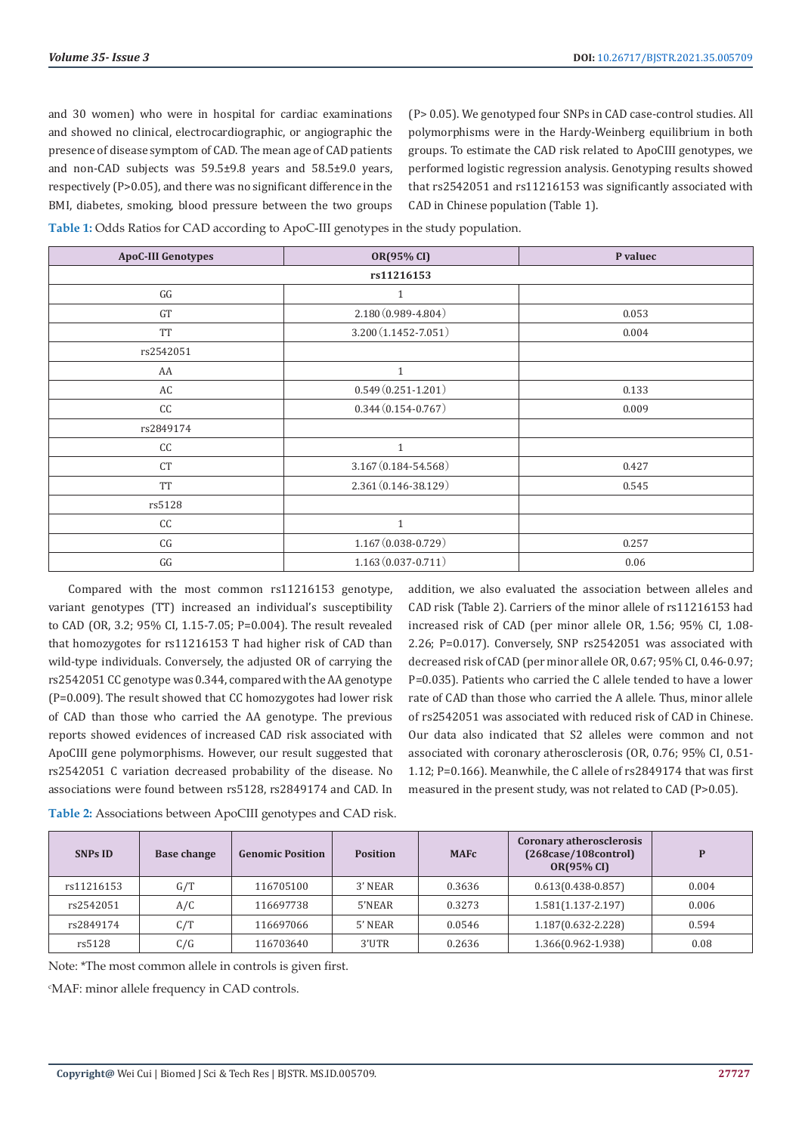and 30 women) who were in hospital for cardiac examinations and showed no clinical, electrocardiographic, or angiographic the presence of disease symptom of CAD. The mean age of CAD patients and non-CAD subjects was 59.5±9.8 years and 58.5±9.0 years, respectively (P>0.05), and there was no significant difference in the BMI, diabetes, smoking, blood pressure between the two groups (P> 0.05). We genotyped four SNPs in CAD case-control studies. All polymorphisms were in the Hardy-Weinberg equilibrium in both groups. To estimate the CAD risk related to ApoCⅢ genotypes, we performed logistic regression analysis. Genotyping results showed that rs2542051 and rs11216153 was significantly associated with CAD in Chinese population (Table 1).

**Table 1:** Odds Ratios for CAD according to ApoC-III genotypes in the study population.

| <b>ApoC-III Genotypes</b> | OR(95% CI)              | P valuec |  |  |
|---------------------------|-------------------------|----------|--|--|
| rs11216153                |                         |          |  |  |
| GG                        | $\mathbf{1}$            |          |  |  |
| GT                        | $2.180(0.989 - 4.804)$  | 0.053    |  |  |
| <b>TT</b>                 | $3.200(1.1452 - 7.051)$ | 0.004    |  |  |
| rs2542051                 |                         |          |  |  |
| AA                        | $\mathbf{1}$            |          |  |  |
| AC                        | $0.549(0.251 - 1.201)$  | 0.133    |  |  |
| CC                        | $0.344(0.154 - 0.767)$  | 0.009    |  |  |
| rs2849174                 |                         |          |  |  |
| CC                        | $\mathbf{1}$            |          |  |  |
| <b>CT</b>                 | $3.167(0.184 - 54.568)$ | 0.427    |  |  |
| <b>TT</b>                 | $2.361(0.146 - 38.129)$ | 0.545    |  |  |
| rs5128                    |                         |          |  |  |
| cc                        | $\mathbf{1}$            |          |  |  |
| CG                        | $1.167(0.038-0.729)$    | 0.257    |  |  |
| $\mathbb{G} \mathbb{G}$   | $1.163(0.037 - 0.711)$  | 0.06     |  |  |

Compared with the most common rs11216153 genotype, variant genotypes (TT) increased an individual's susceptibility to CAD (OR, 3.2; 95% CI, 1.15-7.05; P=0.004). The result revealed that homozygotes for rs11216153 T had higher risk of CAD than wild-type individuals. Conversely, the adjusted OR of carrying the rs2542051 CC genotype was 0.344, compared with the AA genotype (P=0.009). The result showed that CC homozygotes had lower risk of CAD than those who carried the AA genotype. The previous reports showed evidences of increased CAD risk associated with ApoCⅢ gene polymorphisms. However, our result suggested that rs2542051 C variation decreased probability of the disease. No associations were found between rs5128, rs2849174 and CAD. In

addition, we also evaluated the association between alleles and CAD risk (Table 2). Carriers of the minor allele of rs11216153 had increased risk of CAD (per minor allele OR, 1.56; 95% CI, 1.08- 2.26; P=0.017). Conversely, SNP rs2542051 was associated with decreased risk of CAD (per minor allele OR, 0.67; 95% CI, 0.46-0.97; P=0.035). Patients who carried the C allele tended to have a lower rate of CAD than those who carried the A allele. Thus, minor allele of rs2542051 was associated with reduced risk of CAD in Chinese. Our data also indicated that S2 alleles were common and not associated with coronary atherosclerosis (OR, 0.76; 95% CI, 0.51- 1.12; P=0.166). Meanwhile, the C allele of rs2849174 that was first measured in the present study, was not related to CAD (P>0.05).

| <b>SNPs ID</b> | <b>Base change</b> | <b>Genomic Position</b> | <b>Position</b> | <b>MAFC</b> | Coronary atherosclerosis<br>(268case/108control)<br><b>OR(95% CI)</b> | P     |
|----------------|--------------------|-------------------------|-----------------|-------------|-----------------------------------------------------------------------|-------|
| rs11216153     | G/T                | 116705100               | 3' NEAR         | 0.3636      | $0.613(0.438-0.857)$                                                  | 0.004 |
| rs2542051      | A/C                | 116697738               | 5'NEAR          | 0.3273      | $1.581(1.137 - 2.197)$                                                | 0.006 |
| rs2849174      | C/T                | 116697066               | 5' NEAR         | 0.0546      | 1.187(0.632-2.228)                                                    | 0.594 |
| rs5128         | C/G                | 116703640               | 3'UTR           | 0.2636      | 1.366(0.962-1.938)                                                    | 0.08  |

**Table 2:** Associations between ApoCIII genotypes and CAD risk.

Note: \*The most common allele in controls is given first.

c MAF: minor allele frequency in CAD controls.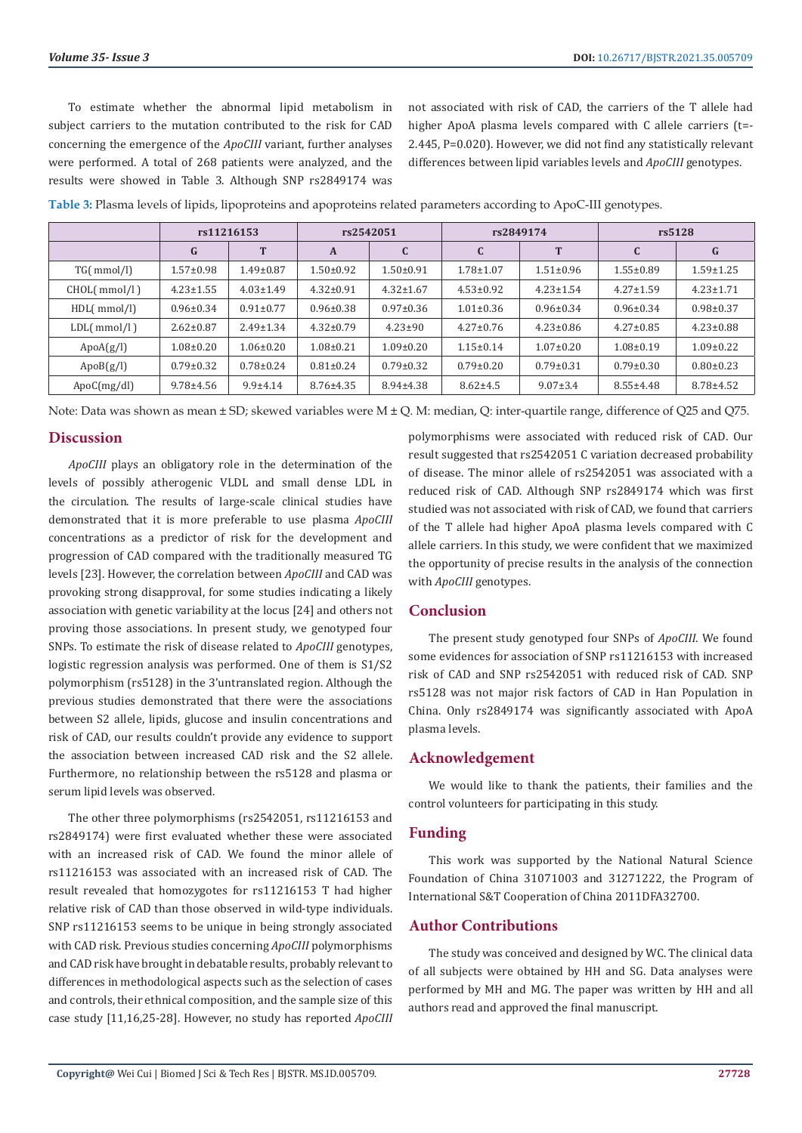To estimate whether the abnormal lipid metabolism in subject carriers to the mutation contributed to the risk for CAD concerning the emergence of the *ApoCIII* variant, further analyses were performed. A total of 268 patients were analyzed, and the results were showed in Table 3. Although SNP rs2849174 was

not associated with risk of CAD, the carriers of the T allele had higher ApoA plasma levels compared with C allele carriers (t=- 2.445, P=0.020). However, we did not find any statistically relevant differences between lipid variables levels and *ApoCIII* genotypes.

| Table 3: Plasma levels of lipids, lipoproteins and apoproteins related parameters according to ApoC-III genotypes. |  |  |  |
|--------------------------------------------------------------------------------------------------------------------|--|--|--|
|--------------------------------------------------------------------------------------------------------------------|--|--|--|

|              | rs11216153      |                 | rs2542051       |                 | rs2849174       |                 | rs5128          |                 |
|--------------|-----------------|-----------------|-----------------|-----------------|-----------------|-----------------|-----------------|-----------------|
|              | G               | T               | $\mathbf{A}$    |                 | $\mathbf{C}$    | T               | C               | G               |
| TG( mmol/l)  | $1.57 \pm 0.98$ | $1.49 \pm 0.87$ | 1.50±0.92       | $1.50 + 0.91$   | $1.78 + 1.07$   | $1.51 \pm 0.96$ | $1.55 \pm 0.89$ | $1.59 \pm 1.25$ |
| CHOL(mmol/l) | $4.23 \pm 1.55$ | $4.03 \pm 1.49$ | $4.32 \pm 0.91$ | $4.32 \pm 1.67$ | $4.53 \pm 0.92$ | $4.23 \pm 1.54$ | $4.27 \pm 1.59$ | $4.23 \pm 1.71$ |
| HDL(mmol/l)  | $0.96 \pm 0.34$ | $0.91 \pm 0.77$ | $0.96 \pm 0.38$ | $0.97 \pm 0.36$ | $1.01 \pm 0.36$ | $0.96 \pm 0.34$ | $0.96 \pm 0.34$ | $0.98 + 0.37$   |
| LDL(mmol/l)  | $2.62 \pm 0.87$ | $2.49 \pm 1.34$ | $4.32 \pm 0.79$ | $4.23 \pm 90$   | $4.27 \pm 0.76$ | $4.23 \pm 0.86$ | $4.27 \pm 0.85$ | $4.23 \pm 0.88$ |
| ApoA(g/l)    | $1.08 \pm 0.20$ | $1.06 \pm 0.20$ | $1.08 \pm 0.21$ | $1.09 \pm 0.20$ | $1.15 \pm 0.14$ | $1.07 \pm 0.20$ | $1.08 \pm 0.19$ | $1.09 \pm 0.22$ |
| ApoB(g/l)    | $0.79 \pm 0.32$ | $0.78 \pm 0.24$ | $0.81 \pm 0.24$ | $0.79 \pm 0.32$ | $0.79 \pm 0.20$ | $0.79 \pm 0.31$ | $0.79 \pm 0.30$ | $0.80 \pm 0.23$ |
| ApoC(mg/dl)  | $9.78 \pm 4.56$ | $9.9 + 4.14$    | $8.76 \pm 4.35$ | $8.94 \pm 4.38$ | $8.62 \pm 4.5$  | $9.07 \pm 3.4$  | $8.55 \pm 4.48$ | $8.78 \pm 4.52$ |

Note: Data was shown as mean ± SD; skewed variables were M ± Q. M: median, Q: inter-quartile range, difference of Q25 and Q75.

# **Discussion**

*ApoCIII* plays an obligatory role in the determination of the levels of possibly atherogenic VLDL and small dense LDL in the circulation. The results of large-scale clinical studies have demonstrated that it is more preferable to use plasma *ApoCIII* concentrations as a predictor of risk for the development and progression of CAD compared with the traditionally measured TG levels [23]. However, the correlation between *ApoCIII* and CAD was provoking strong disapproval, for some studies indicating a likely association with genetic variability at the locus [24] and others not proving those associations. In present study, we genotyped four SNPs. To estimate the risk of disease related to *ApoCIII* genotypes, logistic regression analysis was performed. One of them is S1/S2 polymorphism (rs5128) in the 3'untranslated region. Although the previous studies demonstrated that there were the associations between S2 allele, lipids, glucose and insulin concentrations and risk of CAD, our results couldn't provide any evidence to support the association between increased CAD risk and the S2 allele. Furthermore, no relationship between the rs5128 and plasma or serum lipid levels was observed.

The other three polymorphisms (rs2542051, rs11216153 and rs2849174) were first evaluated whether these were associated with an increased risk of CAD. We found the minor allele of rs11216153 was associated with an increased risk of CAD. The result revealed that homozygotes for rs11216153 T had higher relative risk of CAD than those observed in wild-type individuals. SNP rs11216153 seems to be unique in being strongly associated with CAD risk. Previous studies concerning *ApoCIII* polymorphisms and CAD risk have brought in debatable results, probably relevant to differences in methodological aspects such as the selection of cases and controls, their ethnical composition, and the sample size of this case study [11,16,25-28]. However, no study has reported *ApoCIII*

polymorphisms were associated with reduced risk of CAD. Our result suggested that rs2542051 C variation decreased probability of disease. The minor allele of rs2542051 was associated with a reduced risk of CAD. Although SNP rs2849174 which was first studied was not associated with risk of CAD, we found that carriers of the T allele had higher ApoA plasma levels compared with C allele carriers. In this study, we were confident that we maximized the opportunity of precise results in the analysis of the connection with *ApoCIII* genotypes.

# **Conclusion**

The present study genotyped four SNPs of *ApoCIII*. We found some evidences for association of SNP rs11216153 with increased risk of CAD and SNP rs2542051 with reduced risk of CAD. SNP rs5128 was not major risk factors of CAD in Han Population in China. Only rs2849174 was significantly associated with ApoA plasma levels.

# **Acknowledgement**

We would like to thank the patients, their families and the control volunteers for participating in this study.

# **Funding**

This work was supported by the National Natural Science Foundation of China 31071003 and 31271222, the Program of International S&T Cooperation of China 2011DFA32700.

# **Author Contributions**

The study was conceived and designed by WC. The clinical data of all subjects were obtained by HH and SG. Data analyses were performed by MH and MG. The paper was written by HH and all authors read and approved the final manuscript.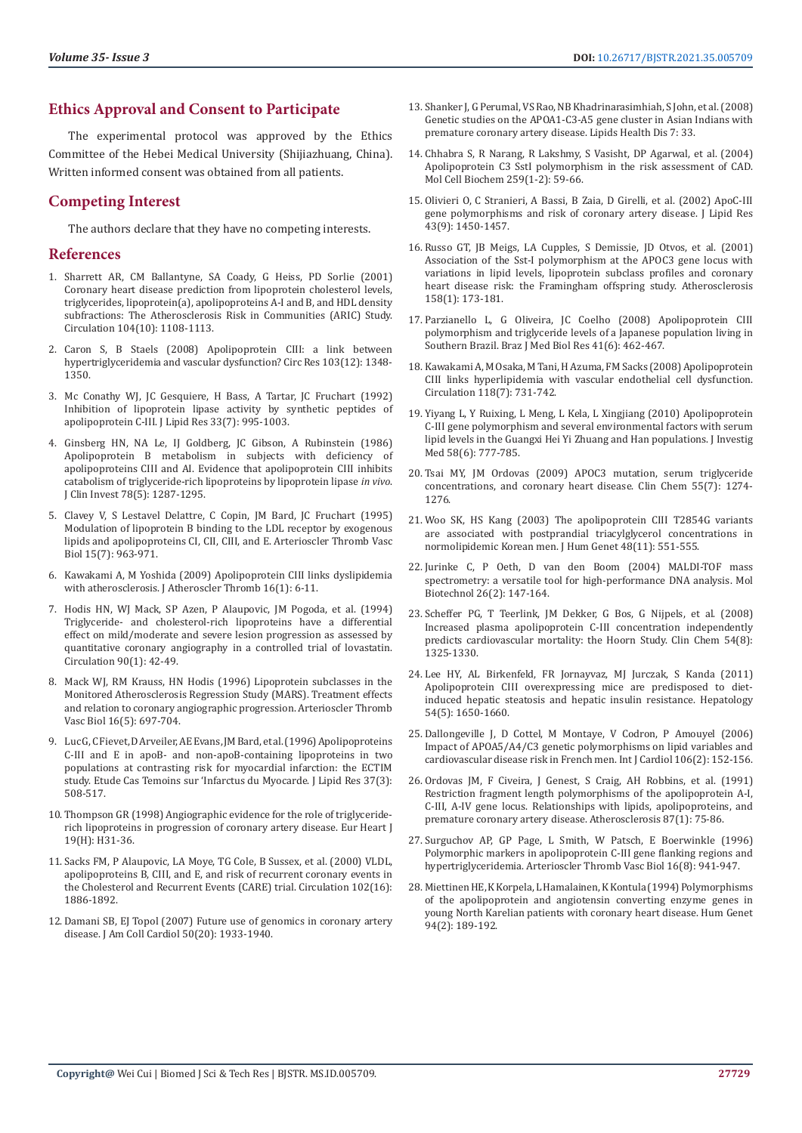# **Ethics Approval and Consent to Participate**

The experimental protocol was approved by the Ethics Committee of the Hebei Medical University (Shijiazhuang, China). Written informed consent was obtained from all patients.

# **Competing Interest**

The authors declare that they have no competing interests.

# **References**

- 1. [Sharrett AR, CM Ballantyne, SA Coady, G Heiss, PD Sorlie \(2001\)](https://pubmed.ncbi.nlm.nih.gov/11535564/)  [Coronary heart disease prediction from lipoprotein cholesterol levels,](https://pubmed.ncbi.nlm.nih.gov/11535564/)  [triglycerides, lipoprotein\(a\), apolipoproteins A-I and B, and HDL density](https://pubmed.ncbi.nlm.nih.gov/11535564/)  [subfractions: The Atherosclerosis Risk in Communities \(ARIC\) Study.](https://pubmed.ncbi.nlm.nih.gov/11535564/)  [Circulation 104\(10\): 1108-1113.](https://pubmed.ncbi.nlm.nih.gov/11535564/)
- 2. [Caron S, B Staels \(2008\) Apolipoprotein CIII: a link between](https://pubmed.ncbi.nlm.nih.gov/19059836/)  [hypertriglyceridemia and vascular dysfunction? Circ Res 103\(12\): 1348-](https://pubmed.ncbi.nlm.nih.gov/19059836/) [1350.](https://pubmed.ncbi.nlm.nih.gov/19059836/)
- 3. [Mc Conathy WJ, JC Gesquiere, H Bass, A Tartar, JC Fruchart \(1992\)](https://pubmed.ncbi.nlm.nih.gov/1431591/)  [Inhibition of lipoprotein lipase activity by synthetic peptides of](https://pubmed.ncbi.nlm.nih.gov/1431591/)  [apolipoprotein C-III. J Lipid Res 33\(7\): 995-1003.](https://pubmed.ncbi.nlm.nih.gov/1431591/)
- 4. [Ginsberg HN, NA Le, IJ Goldberg, JC Gibson, A Rubinstein \(1986\)](https://pubmed.ncbi.nlm.nih.gov/3095375/)  [Apolipoprotein B metabolism in subjects with deficiency of](https://pubmed.ncbi.nlm.nih.gov/3095375/)  [apolipoproteins CIII and AI. Evidence that apolipoprotein CIII inhibits](https://pubmed.ncbi.nlm.nih.gov/3095375/)  [catabolism of triglyceride-rich lipoproteins by lipoprotein lipase](https://pubmed.ncbi.nlm.nih.gov/3095375/) *in vivo*. [J Clin Invest 78\(5\): 1287-1295.](https://pubmed.ncbi.nlm.nih.gov/3095375/)
- 5. [Clavey V, S Lestavel Delattre, C Copin, JM Bard, JC Fruchart \(1995\)](https://pubmed.ncbi.nlm.nih.gov/7600129/)  [Modulation of lipoprotein B binding to the LDL receptor by exogenous](https://pubmed.ncbi.nlm.nih.gov/7600129/)  [lipids and apolipoproteins CI, CII, CIII, and E. Arterioscler Thromb Vasc](https://pubmed.ncbi.nlm.nih.gov/7600129/)  [Biol 15\(7\): 963-971.](https://pubmed.ncbi.nlm.nih.gov/7600129/)
- 6. [Kawakami A, M Yoshida \(2009\) Apolipoprotein CIII links dyslipidemia](https://pubmed.ncbi.nlm.nih.gov/19262004/)  [with atherosclerosis. J Atheroscler Thromb 16\(1\): 6-11.](https://pubmed.ncbi.nlm.nih.gov/19262004/)
- 7. [Hodis HN, WJ Mack, SP Azen, P Alaupovic, JM Pogoda, et al. \(1994\)](https://pubmed.ncbi.nlm.nih.gov/8026027/)  [Triglyceride- and cholesterol-rich lipoproteins have a differential](https://pubmed.ncbi.nlm.nih.gov/8026027/)  [effect on mild/moderate and severe lesion progression as assessed by](https://pubmed.ncbi.nlm.nih.gov/8026027/)  [quantitative coronary angiography in a controlled trial of lovastatin.](https://pubmed.ncbi.nlm.nih.gov/8026027/)  [Circulation 90\(1\): 42-49.](https://pubmed.ncbi.nlm.nih.gov/8026027/)
- 8. [Mack WJ, RM Krauss, HN Hodis \(1996\) Lipoprotein subclasses in the](https://pubmed.ncbi.nlm.nih.gov/8963728/)  [Monitored Atherosclerosis Regression Study \(MARS\). Treatment effects](https://pubmed.ncbi.nlm.nih.gov/8963728/)  [and relation to coronary angiographic progression. Arterioscler Thromb](https://pubmed.ncbi.nlm.nih.gov/8963728/)  [Vasc Biol 16\(5\): 697-704.](https://pubmed.ncbi.nlm.nih.gov/8963728/)
- 9. [Luc G, C Fievet, D Arveiler, AE Evans, JM Bard, et al. \(1996\) Apolipoproteins](https://pubmed.ncbi.nlm.nih.gov/8728314/)  [C-III and E in apoB- and non-apoB-containing lipoproteins in two](https://pubmed.ncbi.nlm.nih.gov/8728314/)  [populations at contrasting risk for myocardial infarction: the ECTIM](https://pubmed.ncbi.nlm.nih.gov/8728314/)  [study. Etude Cas Temoins sur 'Infarctus du Myocarde. J Lipid Res 37\(3\):](https://pubmed.ncbi.nlm.nih.gov/8728314/)  [508-517.](https://pubmed.ncbi.nlm.nih.gov/8728314/)
- 10. [Thompson GR \(1998\) Angiographic evidence for the role of triglyceride](https://pubmed.ncbi.nlm.nih.gov/9717063/)[rich lipoproteins in progression of coronary artery disease. Eur Heart J](https://pubmed.ncbi.nlm.nih.gov/9717063/)  [19\(H\): H31-36.](https://pubmed.ncbi.nlm.nih.gov/9717063/)
- 11. [Sacks FM, P Alaupovic, LA Moye, TG Cole, B Sussex, et al. \(2000\) VLDL,](https://pubmed.ncbi.nlm.nih.gov/11034934/)  [apolipoproteins B, CIII, and E, and risk of recurrent coronary events in](https://pubmed.ncbi.nlm.nih.gov/11034934/)  [the Cholesterol and Recurrent Events \(CARE\) trial. Circulation 102\(16\):](https://pubmed.ncbi.nlm.nih.gov/11034934/)  [1886-1892.](https://pubmed.ncbi.nlm.nih.gov/11034934/)
- 12. Damani SB, EJ Topol (2007) Future use of genomics in coronary artery disease. J Am Coll Cardiol 50(20): 1933-1940.
- 13. [Shanker J, G Perumal, VS Rao, NB Khadrinarasimhiah, S John, et al. \(2008\)](https://pubmed.ncbi.nlm.nih.gov/18801202/) [Genetic studies on the APOA1-C3-A5 gene cluster in Asian Indians with](https://pubmed.ncbi.nlm.nih.gov/18801202/) [premature coronary artery disease. Lipids Health Dis 7: 33.](https://pubmed.ncbi.nlm.nih.gov/18801202/)
- 14. [Chhabra S, R Narang, R Lakshmy, S Vasisht, DP Agarwal, et al. \(2004\)](https://pubmed.ncbi.nlm.nih.gov/15124908/) [Apolipoprotein C3 SstI polymorphism in the risk assessment of CAD.](https://pubmed.ncbi.nlm.nih.gov/15124908/) [Mol Cell Biochem 259\(1-2\): 59-66.](https://pubmed.ncbi.nlm.nih.gov/15124908/)
- 15. [Olivieri O, C Stranieri, A Bassi, B Zaia, D Girelli, et al. \(2002\) ApoC-III](https://pubmed.ncbi.nlm.nih.gov/12235176/) [gene polymorphisms and risk of coronary artery disease. J Lipid Res](https://pubmed.ncbi.nlm.nih.gov/12235176/) [43\(9\): 1450-1457.](https://pubmed.ncbi.nlm.nih.gov/12235176/)
- 16. [Russo GT, JB Meigs, LA Cupples, S Demissie, JD Otvos, et al. \(2001\)](https://www.sciencedirect.com/science/article/abs/pii/S0021915001004099) [Association of the Sst-I polymorphism at the APOC3 gene locus with](https://www.sciencedirect.com/science/article/abs/pii/S0021915001004099) [variations in lipid levels, lipoprotein subclass profiles and coronary](https://www.sciencedirect.com/science/article/abs/pii/S0021915001004099) [heart disease risk: the Framingham offspring study. Atherosclerosis](https://www.sciencedirect.com/science/article/abs/pii/S0021915001004099) [158\(1\): 173-181.](https://www.sciencedirect.com/science/article/abs/pii/S0021915001004099)
- 17. [Parzianello L, G Oliveira, JC Coelho \(2008\) Apolipoprotein CIII](https://pubmed.ncbi.nlm.nih.gov/18560672/) [polymorphism and triglyceride levels of a Japanese population living in](https://pubmed.ncbi.nlm.nih.gov/18560672/) [Southern Brazil. Braz J Med Biol Res 41\(6\): 462-467.](https://pubmed.ncbi.nlm.nih.gov/18560672/)
- 18. [Kawakami A, M Osaka, M Tani, H Azuma, FM Sacks \(2008\) Apolipoprotein](https://pubmed.ncbi.nlm.nih.gov/18663085/) [CIII links hyperlipidemia with vascular endothelial cell dysfunction.](https://pubmed.ncbi.nlm.nih.gov/18663085/) [Circulation 118\(7\): 731-742.](https://pubmed.ncbi.nlm.nih.gov/18663085/)
- 19. [Yiyang L, Y Ruixing, L Meng, L Kela, L Xingjiang \(2010\) Apolipoprotein](https://pubmed.ncbi.nlm.nih.gov/20517165/) [C-III gene polymorphism and several environmental factors with serum](https://pubmed.ncbi.nlm.nih.gov/20517165/) [lipid levels in the Guangxi Hei Yi Zhuang and Han populations. J Investig](https://pubmed.ncbi.nlm.nih.gov/20517165/) [Med 58\(6\): 777-785.](https://pubmed.ncbi.nlm.nih.gov/20517165/)
- 20. [Tsai MY, JM Ordovas \(2009\) APOC3 mutation, serum triglyceride](https://pubmed.ncbi.nlm.nih.gov/19443564/) [concentrations, and coronary heart disease. Clin Chem 55\(7\): 1274-](https://pubmed.ncbi.nlm.nih.gov/19443564/) [1276.](https://pubmed.ncbi.nlm.nih.gov/19443564/)
- 21. [Woo SK, HS Kang \(2003\) The apolipoprotein CIII T2854G variants](https://pubmed.ncbi.nlm.nih.gov/14517726/) [are associated with postprandial triacylglycerol concentrations in](https://pubmed.ncbi.nlm.nih.gov/14517726/) [normolipidemic Korean men. J Hum Genet 48\(11\): 551-555.](https://pubmed.ncbi.nlm.nih.gov/14517726/)
- 22. [Jurinke C, P Oeth, D van den Boom \(2004\) MALDI-TOF mass](https://pubmed.ncbi.nlm.nih.gov/14764940/) [spectrometry: a versatile tool for high-performance DNA analysis. Mol](https://pubmed.ncbi.nlm.nih.gov/14764940/) [Biotechnol 26\(2\): 147-164.](https://pubmed.ncbi.nlm.nih.gov/14764940/)
- 23. [Scheffer PG, T Teerlink, JM Dekker, G Bos, G Nijpels, et al. \(2008\)](https://pubmed.ncbi.nlm.nih.gov/18556334/) [Increased plasma apolipoprotein C-III concentration independently](https://pubmed.ncbi.nlm.nih.gov/18556334/) [predicts cardiovascular mortality: the Hoorn Study. Clin Chem 54\(8\):](https://pubmed.ncbi.nlm.nih.gov/18556334/) [1325-1330.](https://pubmed.ncbi.nlm.nih.gov/18556334/)
- 24. Lee HY, AL Birkenfeld, FR Jornayvaz, MJ Jurczak, S Kanda (2011) Apolipoprotein CIII overexpressing mice are predisposed to dietinduced hepatic steatosis and hepatic insulin resistance. Hepatology 54(5): 1650-1660.
- 25. [Dallongeville J, D Cottel, M Montaye, V Codron, P Amouyel \(2006\)](https://pubmed.ncbi.nlm.nih.gov/16321685/) [Impact of APOA5/A4/C3 genetic polymorphisms on lipid variables and](https://pubmed.ncbi.nlm.nih.gov/16321685/) [cardiovascular disease risk in French men. Int J Cardiol 106\(2\): 152-156.](https://pubmed.ncbi.nlm.nih.gov/16321685/)
- 26. [Ordovas JM, F Civeira, J Genest, S Craig, AH Robbins, et al. \(1991\)](https://pubmed.ncbi.nlm.nih.gov/1678604/) [Restriction fragment length polymorphisms of the apolipoprotein A-I,](https://pubmed.ncbi.nlm.nih.gov/1678604/) [C-III, A-IV gene locus. Relationships with lipids, apolipoproteins, and](https://pubmed.ncbi.nlm.nih.gov/1678604/) [premature coronary artery disease. Atherosclerosis 87\(1\): 75-86.](https://pubmed.ncbi.nlm.nih.gov/1678604/)
- 27. [Surguchov AP, GP Page, L Smith, W Patsch, E Boerwinkle \(1996\)](https://pubmed.ncbi.nlm.nih.gov/8696957/) [Polymorphic markers in apolipoprotein C-III gene flanking regions and](https://pubmed.ncbi.nlm.nih.gov/8696957/) [hypertriglyceridemia. Arterioscler Thromb Vasc Biol 16\(8\): 941-947.](https://pubmed.ncbi.nlm.nih.gov/8696957/)
- 28. [Miettinen HE, K Korpela, L Hamalainen, K Kontula \(1994\) Polymorphisms](https://pubmed.ncbi.nlm.nih.gov/7913911/) [of the apolipoprotein and angiotensin converting enzyme genes in](https://pubmed.ncbi.nlm.nih.gov/7913911/) [young North Karelian patients with coronary heart disease. Hum Genet](https://pubmed.ncbi.nlm.nih.gov/7913911/) [94\(2\): 189-192.](https://pubmed.ncbi.nlm.nih.gov/7913911/)